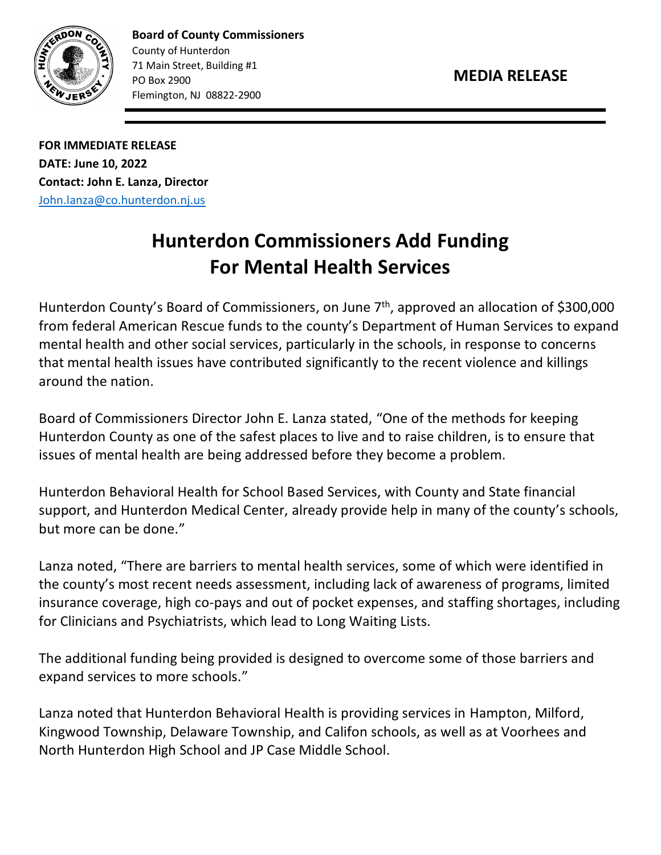



**Board of County Commissioners** County of Hunterdon 71 Main Street, Building #1 PO Box 2900 Flemington, NJ 08822-2900

**FOR IMMEDIATE RELEASE DATE: June 10, 2022 Contact: John E. Lanza, Director** [John.lanza@co.hunterdon.nj.us](mailto:John.lanza@co.hunterdon.nj.us)

## **Hunterdon Commissioners Add Funding For Mental Health Services**

Hunterdon County's Board of Commissioners, on June 7<sup>th</sup>, approved an allocation of \$300,000 from federal American Rescue funds to the county's Department of Human Services to expand mental health and other social services, particularly in the schools, in response to concerns that mental health issues have contributed significantly to the recent violence and killings around the nation.

Board of Commissioners Director John E. Lanza stated, "One of the methods for keeping Hunterdon County as one of the safest places to live and to raise children, is to ensure that issues of mental health are being addressed before they become a problem.

Hunterdon Behavioral Health for School Based Services, with County and State financial support, and Hunterdon Medical Center, already provide help in many of the county's schools, but more can be done."

Lanza noted, "There are barriers to mental health services, some of which were identified in the county's most recent needs assessment, including lack of awareness of programs, limited insurance coverage, high co-pays and out of pocket expenses, and staffing shortages, including for Clinicians and Psychiatrists, which lead to Long Waiting Lists.

The additional funding being provided is designed to overcome some of those barriers and expand services to more schools."

Lanza noted that Hunterdon Behavioral Health is providing services in Hampton, Milford, Kingwood Township, Delaware Township, and Califon schools, as well as at Voorhees and North Hunterdon High School and JP Case Middle School.